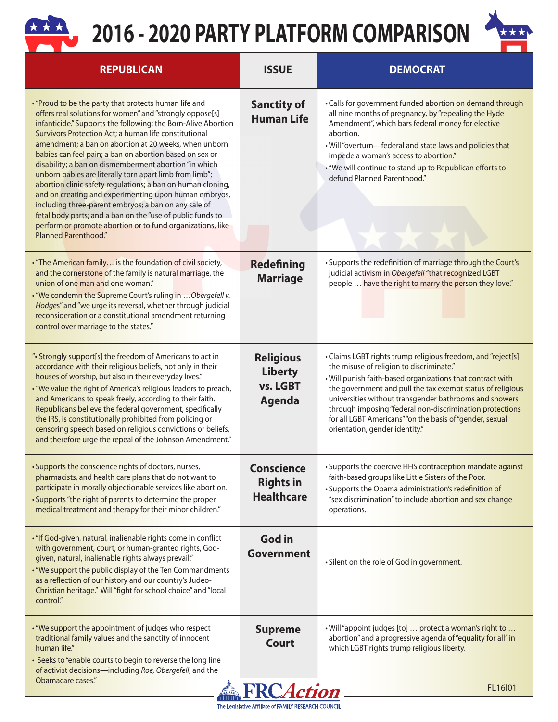## **2016 - 2020 PARTY PLATFORM COMPARISON**



| <b>REPUBLICAN</b>                                                                                                                                                                                                                                                                                                                                                                                                                                                                                                                                                                                                                                                                                                                                                                                                       | <b>ISSUE</b>                                                    | <b>DEMOCRAT</b>                                                                                                                                                                                                                                                                                                                                                                                                                                          |  |
|-------------------------------------------------------------------------------------------------------------------------------------------------------------------------------------------------------------------------------------------------------------------------------------------------------------------------------------------------------------------------------------------------------------------------------------------------------------------------------------------------------------------------------------------------------------------------------------------------------------------------------------------------------------------------------------------------------------------------------------------------------------------------------------------------------------------------|-----------------------------------------------------------------|----------------------------------------------------------------------------------------------------------------------------------------------------------------------------------------------------------------------------------------------------------------------------------------------------------------------------------------------------------------------------------------------------------------------------------------------------------|--|
| . "Proud to be the party that protects human life and<br>offers real solutions for women" and "strongly oppose[s]<br>infanticide." Supports the following: the Born-Alive Abortion<br>Survivors Protection Act; a human life constitutional<br>amendment; a ban on abortion at 20 weeks, when unborn<br>babies can feel pain; a ban on abortion based on sex or<br>disability; a ban on dismemberment abortion "in which<br>unborn babies are literally torn apart limb from limb";<br>abortion clinic safety regulations; a ban on human cloning,<br>and on creating and experimenting upon human embryos,<br>including three-parent embryos; a ban on any sale of<br>fetal body parts; and a ban on the "use of public funds to<br>perform or promote abortion or to fund organizations, like<br>Planned Parenthood." | <b>Sanctity of</b><br><b>Human Life</b>                         | . Calls for government funded abortion on demand through<br>all nine months of pregnancy, by "repealing the Hyde<br>Amendment", which bars federal money for elective<br>abortion.<br>. Will "overturn-federal and state laws and policies that<br>impede a woman's access to abortion."<br>. "We will continue to stand up to Republican efforts to<br>defund Planned Parenthood."                                                                      |  |
| . "The American family is the foundation of civil society,<br>and the cornerstone of the family is natural marriage, the<br>union of one man and one woman."<br>. "We condemn the Supreme Court's ruling in  Obergefell v.<br>Hodges" and "we urge its reversal, whether through judicial<br>reconsideration or a constitutional amendment returning<br>control over marriage to the states."                                                                                                                                                                                                                                                                                                                                                                                                                           | <b>Redefining</b><br><b>Marriage</b>                            | . Supports the redefinition of marriage through the Court's<br>judicial activism in Obergefell "that recognized LGBT<br>people  have the right to marry the person they love."                                                                                                                                                                                                                                                                           |  |
| ". Strongly support[s] the freedom of Americans to act in<br>accordance with their religious beliefs, not only in their<br>houses of worship, but also in their everyday lives."<br>. "We value the right of America's religious leaders to preach,<br>and Americans to speak freely, according to their faith.<br>Republicans believe the federal government, specifically<br>the IRS, is constitutionally prohibited from policing or<br>censoring speech based on religious convictions or beliefs,<br>and therefore urge the repeal of the Johnson Amendment."                                                                                                                                                                                                                                                      | <b>Religious</b><br><b>Liberty</b><br>vs. LGBT<br><b>Agenda</b> | · Claims LGBT rights trump religious freedom, and "reject[s]<br>the misuse of religion to discriminate."<br>. Will punish faith-based organizations that contract with<br>the government and pull the tax exempt status of religious<br>universities without transgender bathrooms and showers<br>through imposing "federal non-discrimination protections<br>for all LGBT Americans" "on the basis of "gender, sexual<br>orientation, gender identity." |  |
| · Supports the conscience rights of doctors, nurses,<br>pharmacists, and health care plans that do not want to<br>participate in morally objectionable services like abortion.<br>· Supports "the right of parents to determine the proper<br>medical treatment and therapy for their minor children."                                                                                                                                                                                                                                                                                                                                                                                                                                                                                                                  | <b>Conscience</b><br><b>Rights in</b><br><b>Healthcare</b>      | · Supports the coercive HHS contraception mandate against<br>faith-based groups like Little Sisters of the Poor.<br>· Supports the Obama administration's redefinition of<br>"sex discrimination" to include abortion and sex change<br>operations.                                                                                                                                                                                                      |  |
| . "If God-given, natural, inalienable rights come in conflict<br>with government, court, or human-granted rights, God-<br>given, natural, inalienable rights always prevail."<br>. "We support the public display of the Ten Commandments<br>as a reflection of our history and our country's Judeo-<br>Christian heritage." Will "fight for school choice" and "local<br>control."                                                                                                                                                                                                                                                                                                                                                                                                                                     | <b>God in</b><br>Government                                     | · Silent on the role of God in government.                                                                                                                                                                                                                                                                                                                                                                                                               |  |
| . "We support the appointment of judges who respect<br>traditional family values and the sanctity of innocent<br>human life."<br>· Seeks to "enable courts to begin to reverse the long line<br>of activist decisions-including Roe, Obergefell, and the                                                                                                                                                                                                                                                                                                                                                                                                                                                                                                                                                                | <b>Supreme</b><br><b>Court</b>                                  | . Will "appoint judges [to]  protect a woman's right to<br>abortion" and a progressive agenda of "equality for all" in<br>which LGBT rights trump religious liberty.                                                                                                                                                                                                                                                                                     |  |
| Obamacare cases."<br><b>FRCAction</b><br>FL16I01                                                                                                                                                                                                                                                                                                                                                                                                                                                                                                                                                                                                                                                                                                                                                                        |                                                                 |                                                                                                                                                                                                                                                                                                                                                                                                                                                          |  |

The Legislative Affiliate of FAMILY RESEARCH COUNCIL